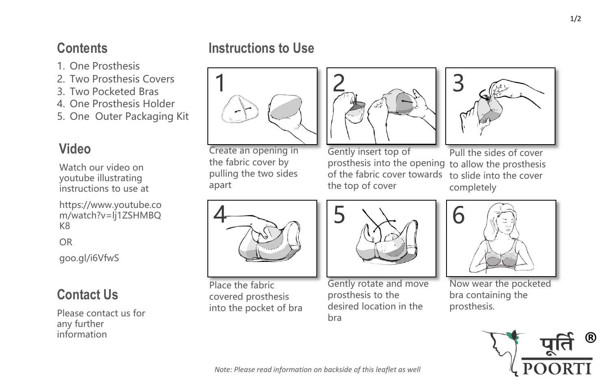### **Contents**

- 1. One Prosthesis
- 2. Two Prosthesis Covers
- 3. Two Pocketed Bras
- 4. One Prosthesis Holder
- 5. One Outer Packaging Kit

# **Video**

Watch our video on youtube illustrating instructions to use at

https://www.youtube.co m/watch?v=lj1ZSHMBQ K8

OR

goo.gl/i6VfwS

# **Contact Us**

Please contact us for any further information

## **Instructions to Use**



Create an opening in the fabric cover by pulling the two sides apart



Gently insert top of prosthesis into the opening to allow the prosthesis of the fabric cover towards the top of cover



Pull the sides of cover to slide into the cover completely



Place the fabric covered prosthesis into the pocket of bra



Gently rotate and move prosthesis to the desired location in the bra



Now wear the pocketed bra containing the prosthesis.